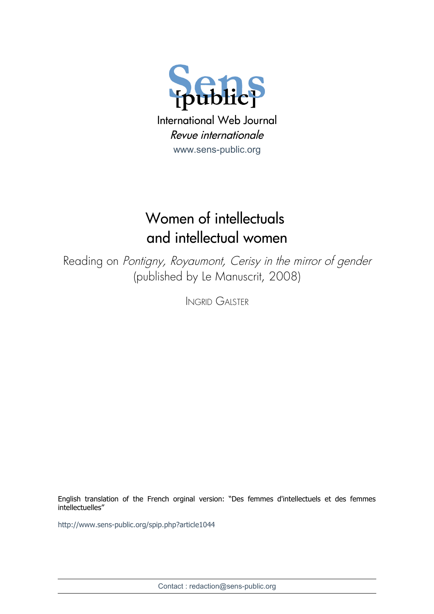

Revue internationale [www.sens-public.org](http://www.sens-public.org/)

## Women of intellectuals and intellectual women

Reading on Pontigny, Royaumont, Cerisy in the mirror of gender (published by Le Manuscrit, 2008)

INGRID GALSTER

English translation of the French orginal version: "Des femmes d'intellectuels et des femmes intellectuelles"

<http://www.sens-public.org/spip.php?article1044>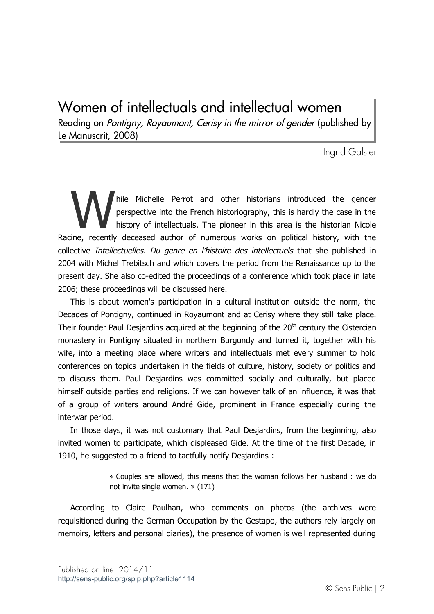## Women of intellectuals and intellectual women

Reading on Pontigny, Royaumont, Cerisy in the mirror of gender (published by Le Manuscrit, 2008)

Ingrid Galster

hile Michelle Perrot and other historians introduced the gender perspective into the French historiography, this is hardly the case in the history of intellectuals. The pioneer in this area is the historian Nicole Racine, recently deceased author of numerous works on political history, with the collective Intellectuelles. Du genre en l'histoire des intellectuels that she published in 2004 with Michel Trebitsch and which covers the period from the Renaissance up to the present day. She also co-edited the proceedings of a conference which took place in late 2006; these proceedings will be discussed here. W

This is about women's participation in a cultural institution outside the norm, the Decades of Pontigny, continued in Royaumont and at Cerisy where they still take place. Their founder Paul Desjardins acquired at the beginning of the  $20<sup>th</sup>$  century the Cistercian monastery in Pontigny situated in northern Burgundy and turned it, together with his wife, into a meeting place where writers and intellectuals met every summer to hold conferences on topics undertaken in the fields of culture, history, society or politics and to discuss them. Paul Desjardins was committed socially and culturally, but placed himself outside parties and religions. If we can however talk of an influence, it was that of a group of writers around André Gide, prominent in France especially during the interwar period.

In those days, it was not customary that Paul Desjardins, from the beginning, also invited women to participate, which displeased Gide. At the time of the first Decade, in 1910, he suggested to a friend to tactfully notify Desjardins :

> « Couples are allowed, this means that the woman follows her husband : we do not invite single women. » (171)

According to Claire Paulhan, who comments on photos (the archives were requisitioned during the German Occupation by the Gestapo, the authors rely largely on memoirs, letters and personal diaries), the presence of women is well represented during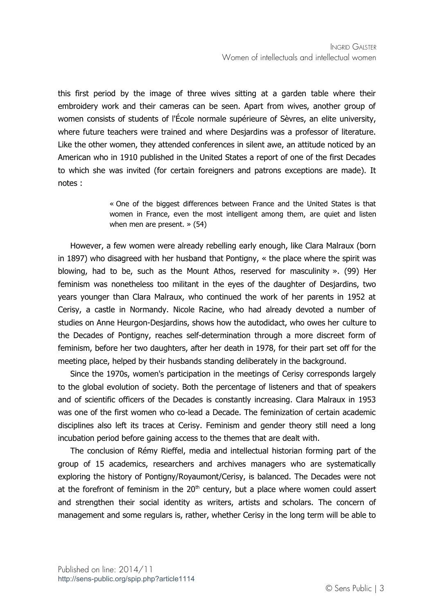this first period by the image of three wives sitting at a garden table where their embroidery work and their cameras can be seen. Apart from wives, another group of women consists of students of l'École normale supérieure of Sèvres, an elite university, where future teachers were trained and where Desiardins was a professor of literature. Like the other women, they attended conferences in silent awe, an attitude noticed by an American who in 1910 published in the United States a report of one of the first Decades to which she was invited (for certain foreigners and patrons exceptions are made). It notes :

> « One of the biggest differences between France and the United States is that women in France, even the most intelligent among them, are quiet and listen when men are present. » (54)

However, a few women were already rebelling early enough, like Clara Malraux (born in 1897) who disagreed with her husband that Pontigny, « the place where the spirit was blowing, had to be, such as the Mount Athos, reserved for masculinity ». (99) Her feminism was nonetheless too militant in the eyes of the daughter of Desjardins, two years younger than Clara Malraux, who continued the work of her parents in 1952 at Cerisy, a castle in Normandy. Nicole Racine, who had already devoted a number of studies on Anne Heurgon-Desjardins, shows how the autodidact, who owes her culture to the Decades of Pontigny, reaches self-determination through a more discreet form of feminism, before her two daughters, after her death in 1978, for their part set off for the meeting place, helped by their husbands standing deliberately in the background.

Since the 1970s, women's participation in the meetings of Cerisy corresponds largely to the global evolution of society. Both the percentage of listeners and that of speakers and of scientific officers of the Decades is constantly increasing. Clara Malraux in 1953 was one of the first women who co-lead a Decade. The feminization of certain academic disciplines also left its traces at Cerisy. Feminism and gender theory still need a long incubation period before gaining access to the themes that are dealt with.

The conclusion of Rémy Rieffel, media and intellectual historian forming part of the group of 15 academics, researchers and archives managers who are systematically exploring the history of Pontigny/Royaumont/Cerisy, is balanced. The Decades were not at the forefront of feminism in the  $20<sup>th</sup>$  century, but a place where women could assert and strengthen their social identity as writers, artists and scholars. The concern of management and some regulars is, rather, whether Cerisy in the long term will be able to